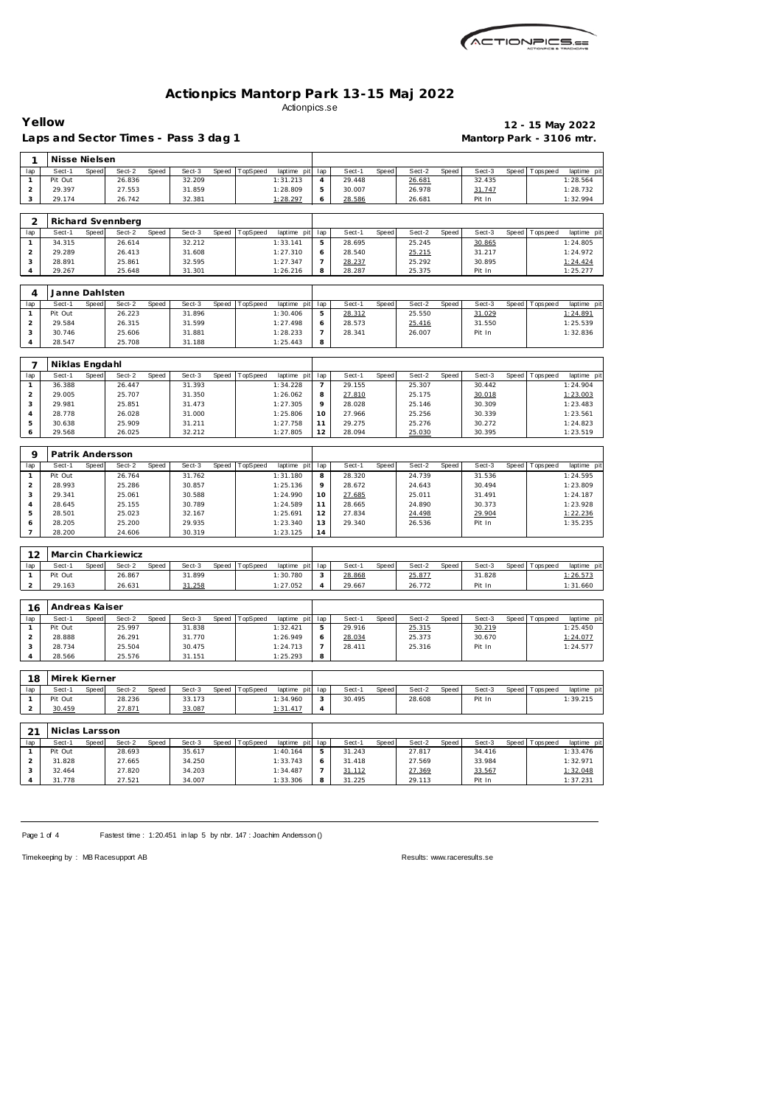

|                                | Yellow            |              |                    |       | Laps and Sector Times - Pass 3 dag 1 |       |          |                         |                |                  |       |                  |       | Mantorp Park - 3106 mtr. |              |                 | 12 - 15 May 2022       |
|--------------------------------|-------------------|--------------|--------------------|-------|--------------------------------------|-------|----------|-------------------------|----------------|------------------|-------|------------------|-------|--------------------------|--------------|-----------------|------------------------|
|                                | Nisse Nielsen     |              |                    |       |                                      |       |          |                         |                |                  |       |                  |       |                          |              |                 |                        |
| 1                              |                   |              |                    |       |                                      |       |          |                         |                |                  |       |                  |       |                          |              |                 |                        |
| lap<br>$\mathbf{1}$            | Sect-1<br>Pit Out | Speed        | Sect-2<br>26.836   | Speed | Sect-3<br>32.209                     | Speed | TopSpeed | laptime pit<br>1:31.213 | lap<br>4       | Sect-1<br>29.448 | Speed | Sect-2<br>26.681 | Speed | Sect-3<br>32.435         | Speed        | Tops peed       | laptime pi<br>1:28.564 |
| $\overline{c}$                 | 29.397            |              | 27.553             |       | 31.859                               |       |          | 1:28.809                | 5              | 30.007           |       | 26.978           |       | 31.747                   |              |                 | 1:28.732               |
| 3                              | 29.174            |              | 26.742             |       | 32.381                               |       |          | 1:28.297                | 6              | 28.586           |       | 26.681           |       | Pit In                   |              |                 | 1:32.994               |
|                                |                   |              |                    |       |                                      |       |          |                         |                |                  |       |                  |       |                          |              |                 |                        |
| 2                              |                   |              | Richard Svennberg  |       |                                      |       |          |                         |                |                  |       |                  |       |                          |              |                 |                        |
| lap                            | Sect-1            | <b>Speed</b> | Sect-2             | Speed | Sect-3                               | Speed | TopSpeed | laptime pit             | lap            | Sect-1           | Speed | Sect-2           | Speed | Sect-3                   | Speed        | T ops pee d     | laptime pi             |
| $\mathbf{1}$                   | 34.315            |              | 26.614             |       | 32.212                               |       |          | 1:33.141                | 5              | 28.695           |       | 25.245           |       | 30.865                   |              |                 | 1:24.805               |
| $\overline{c}$                 | 29.289            |              | 26.413             |       | 31.608                               |       |          | 1:27.310                | 6              | 28.540           |       | 25.215           |       | 31.217                   |              |                 | 1:24.972               |
| 3                              | 28.891            |              | 25.861             |       | 32.595                               |       |          | 1:27.347                | $\overline{7}$ | 28.237           |       | 25.292           |       | 30.895                   |              |                 | 1:24.424               |
| 4                              | 29.267            |              | 25.648             |       | 31.301                               |       |          | 1:26.216                | 8              | 28.287           |       | 25.375           |       | Pit In                   |              |                 | 1:25.277               |
| 4                              | Janne Dahlsten    |              |                    |       |                                      |       |          |                         |                |                  |       |                  |       |                          |              |                 |                        |
| lap                            | Sect-1            | Speed        | Sect-2             | Speed | Sect-3                               | Speed | TopSpeed | laptime pit             | lap            | Sect-1           | Speed | Sect-2           | Speed | Sect-3                   | Speed        | T ops pee d     | laptime pi             |
| $\mathbf{1}$                   | Pit Out           |              | 26.223             |       | 31.896                               |       |          | 1:30.406                | 5              | 28.312           |       | 25.550           |       | 31.029                   |              |                 | 1:24.891               |
| $\mathbf 2$                    | 29.584            |              | 26.315             |       | 31.599                               |       |          | 1:27.498                | 6              | 28.573           |       | 25.416           |       | 31.550                   |              |                 | 1:25.539               |
| 3                              | 30.746            |              | 25.606             |       | 31.881                               |       |          | 1:28.233                | 7              | 28.341           |       | 26.007           |       | Pit In                   |              |                 | 1:32.836               |
| 4                              | 28.547            |              | 25.708             |       | 31.188                               |       |          | 1:25.443                | 8              |                  |       |                  |       |                          |              |                 |                        |
|                                |                   |              |                    |       |                                      |       |          |                         |                |                  |       |                  |       |                          |              |                 |                        |
| 7                              | Niklas Engdahl    |              |                    |       |                                      |       |          |                         |                |                  |       |                  |       |                          |              |                 |                        |
| lap                            | Sect-1            | Speed        | Sect-2             | Speed | Sect-3                               | Speed | TopSpeed | laptime pit             | lap            | Sect-1           | Speed | Sect-2           | Speed | Sect-3                   | Speed        | Tops peed       | laptime pi             |
| $\mathbf{1}$                   | 36.388            |              | 26.447             |       | 31.393                               |       |          | 1:34.228                | $\overline{7}$ | 29.155           |       | 25.307           |       | 30.442                   |              |                 | 1:24.904               |
| $\overline{c}$                 | 29.005            |              | 25.707             |       | 31.350                               |       |          | 1:26.062                | 8              | 27.810           |       | 25.175           |       | 30.018                   |              |                 | 1:23.003               |
| 3                              | 29.981            |              | 25.851             |       | 31.473                               |       |          | 1:27.305                | 9              | 28.028           |       | 25.146           |       | 30.309                   |              |                 | 1:23.483               |
| $\overline{4}$                 | 28.778            |              | 26.028             |       | 31.000                               |       |          | 1:25.806                | 10             | 27.966           |       | 25.256           |       | 30.339                   |              |                 | 1:23.561               |
| 5                              | 30.638            |              | 25.909             |       | 31.211                               |       |          | 1:27.758                | 11             | 29.275           |       | 25.276           |       | 30.272                   |              |                 | 1:24.823               |
| 6                              | 29.568            |              | 26.025             |       | 32.212                               |       |          | 1:27.805                | 12             | 28.094           |       | 25.030           |       | 30.395                   |              |                 | 1:23.519               |
| 9                              |                   |              | Patrik Andersson   |       |                                      |       |          |                         |                |                  |       |                  |       |                          |              |                 |                        |
| lap                            | Sect-1            | Speed        | Sect-2             | Speed | Sect-3                               | Speed | TopSpeed | laptime pit             | lap            | Sect-1           | Speed | Sect-2           | Speed | Sect-3                   | Speed        | Tops peed       | laptime pi             |
| $\mathbf{1}$                   | Pit Out           |              | 26.764             |       | 31.762                               |       |          | 1:31.180                | 8              | 28.320           |       | 24.739           |       | 31.536                   |              |                 | 1:24.595               |
| $\overline{c}$                 | 28.993            |              | 25.286             |       | 30.857                               |       |          | 1:25.136                | 9              | 28.672           |       | 24.643           |       | 30.494                   |              |                 | 1:23.809               |
| 3                              | 29.341            |              | 25.061             |       | 30.588                               |       |          | 1:24.990                | 10             | 27.685           |       | 25.011           |       | 31.491                   |              |                 | 1:24.187               |
| $\overline{4}$                 | 28.645            |              | 25.155             |       | 30.789                               |       |          | 1:24.589                | 11             | 28.665           |       | 24.890           |       | 30.373                   |              |                 | 1:23.928               |
| 5                              | 28.501            |              | 25.023             |       | 32.167                               |       |          | 1:25.691                | 12             | 27.834           |       | 24.498           |       | 29.904                   |              |                 | 1:22.236               |
| 6                              | 28.205            |              | 25.200             |       | 29.935                               |       |          | 1:23.340                | 13             | 29.340           |       | 26.536           |       | Pit In                   |              |                 | 1:35.235               |
| $\overline{7}$                 | 28.200            |              | 24.606             |       | 30.319                               |       |          | 1:23.125                | 14             |                  |       |                  |       |                          |              |                 |                        |
| 12                             |                   |              | Marcin Charkiewicz |       |                                      |       |          |                         |                |                  |       |                  |       |                          |              |                 |                        |
| lap                            | Sect-1            | Speed        | Sect-2             | Speed | Sect-3                               | Speed | TopSpeed | laptime pit             | lap            | Sect-1           | Speed | Sect-2           | Speed | Sect-3                   | Speed        | Tops peed       | laptime pi             |
| 1                              | Pit Out           |              | 26.867             |       | 31.899                               |       |          | 1:30.780                | 3              | 28.868           |       | 25.877           |       | 31.828                   |              |                 | 1:26.573               |
| $\overline{2}$                 | 29.163            |              | 26.631             |       | 31.258                               |       |          | 1:27.052                | $\overline{4}$ | 29.667           |       | 26.772           |       | Pit In                   |              |                 | 1:31.660               |
|                                |                   |              |                    |       |                                      |       |          |                         |                |                  |       |                  |       |                          |              |                 |                        |
| 16                             | Andreas Kaiser    |              |                    |       |                                      |       |          |                         |                |                  |       |                  |       |                          |              |                 |                        |
| lap                            | Sect-1            | <b>Speed</b> | Sect-2             | Speed | Sect-3                               | Speed | TopSpeed | laptime pit             | lap            | Sect-1           | Speed | Sect-2           | Speed | Sect-3                   | <b>Speed</b> | <b>Topspeed</b> | laptime pit            |
| $\mathbf{1}$                   | Pit Out           |              | 25.997             |       | 31.838                               |       |          | 1:32.421                | 5              | 29.916           |       | 25.315           |       | 30.219                   |              |                 | 1:25.450               |
| $\overline{c}$                 | 28.888            |              | 26.291             |       | 31.770                               |       |          | 1:26.949                | 6              | 28.034           |       | 25.373           |       | 30.670                   |              |                 | 1:24.077               |
| 3                              | 28.734            |              | 25.504             |       | 30.475                               |       |          | 1:24.713                | $\overline{7}$ | 28.411           |       | 25.316           |       | Pit In                   |              |                 | 1:24.577               |
| 4                              | 28.566            |              | 25.576             |       | 31.151                               |       |          | 1:25.293                | 8              |                  |       |                  |       |                          |              |                 |                        |
| 18                             | Mirek Kierner     |              |                    |       |                                      |       |          |                         |                |                  |       |                  |       |                          |              |                 |                        |
| lap                            | Sect-1            | Speed        | Sect-2             | Speed | Sect-3                               | Speed | TopSpeed | laptime pit             | lap            | Sect-1           | Speed | Sect-2           | Speed | Sect-3                   | Speed        | Tops peed       | laptime pi             |
| $\mathbf{1}$                   | Pit Out           |              | 28.236             |       | 33.173                               |       |          | 1:34.960                | 3              | 30.495           |       | 28.608           |       | Pit In                   |              |                 | 1:39.215               |
| 2                              | 30.459            |              | 27.871             |       | 33.087                               |       |          | 1:31.417                | 4              |                  |       |                  |       |                          |              |                 |                        |
|                                |                   |              |                    |       |                                      |       |          |                         |                |                  |       |                  |       |                          |              |                 |                        |
| 21                             | Niclas Larsson    |              |                    |       |                                      |       |          |                         |                |                  |       |                  |       |                          |              |                 |                        |
| lap                            | Sect-1<br>Pit Out | Speed        | Sect-2<br>28.693   | Speed | Sect-3<br>35.617                     | Speed | TopSpeed | laptime pit<br>1:40.164 | lap            | Sect-1           | Speed | Sect-2           | Speed | Sect-3                   | Speed        | Topspeed        | laptime pi             |
| $\mathbf{1}$<br>$\overline{c}$ | 31.828            |              | 27.665             |       | 34.250                               |       |          | 1:33.743                | 5<br>6         | 31.243<br>31.418 |       | 27.817<br>27.569 |       | 34.416<br>33.984         |              |                 | 1:33.476<br>1:32.971   |
| 3                              | 32.464            |              | 27.820             |       | 34.203                               |       |          | 1:34.487                | $\overline{7}$ | 31.112           |       | 27.369           |       | 33.567                   |              |                 | 1:32.048               |
| 4                              | 31.778            |              | 27.521             |       | 34.007                               |       |          | 1:33.306                | 8              | 31.225           |       | 29.113           |       | Pit In                   |              |                 | 1:37.231               |
|                                |                   |              |                    |       |                                      |       |          |                         |                |                  |       |                  |       |                          |              |                 |                        |

Page 1 of 4 Fastest time : 1:20.451 in lap 5 by nbr. 147 : Joachim Andersson ()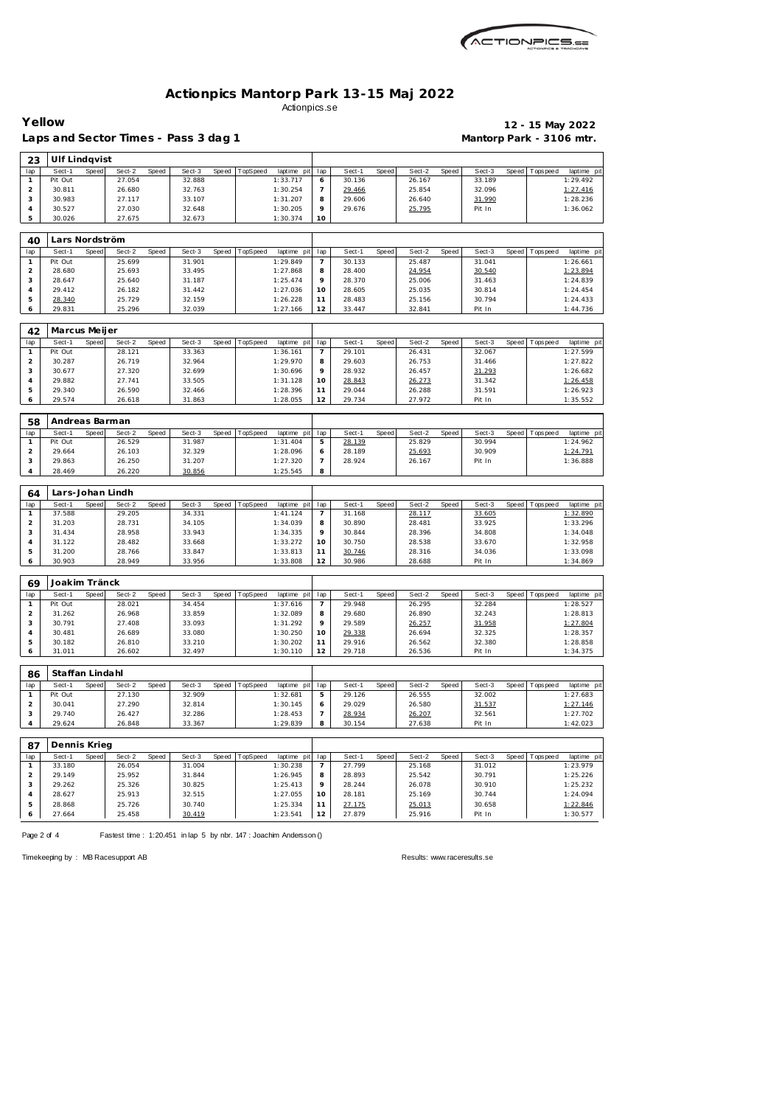| MCTIONPICS.sa |
|---------------|
|               |

Laps and Sector Times - Pass 3 dag 1 **Mantorp Park - 3106 mtr.** 

**Yellow 12 - 15 May 2022**

| 23                  | <b>Ulf Lindqvist</b> |       |                  |       |                  |              |          |                         |                       |                  |       |                  |       |                  |       |             |                        |
|---------------------|----------------------|-------|------------------|-------|------------------|--------------|----------|-------------------------|-----------------------|------------------|-------|------------------|-------|------------------|-------|-------------|------------------------|
| lap                 | Sect-1               | Speed | Sect-2           | Speed | Sect-3           | Speed        | TopSpeed | laptime pit             | lap                   | Sect-1           | Speed | Sect-2           | Speed | Sect-3           | Speed | T ops pee d | laptime pi             |
| $\mathbf{1}$        | Pit Out              |       | 27.054           |       | 32.888           |              |          | 1:33.717                | 6                     | 30.136           |       | 26.167           |       | 33.189           |       |             | 1:29.492               |
| $\overline{c}$      | 30.811               |       | 26.680           |       | 32.763           |              |          | 1:30.254                | $\overline{7}$        | 29.466           |       | 25.854           |       | 32.096           |       |             | 1:27.416               |
| 3                   | 30.983               |       | 27.117           |       | 33.107           |              |          | 1:31.207                | 8                     | 29.606           |       | 26.640           |       | 31.990           |       |             | 1:28.236               |
| $\sqrt{4}$          | 30.527               |       | 27.030           |       | 32.648           |              |          | 1:30.205                | 9                     | 29.676           |       | 25.795           |       | Pit In           |       |             | 1:36.062               |
| 5                   | 30.026               |       | 27.675           |       | 32.673           |              |          | 1:30.374                | 10                    |                  |       |                  |       |                  |       |             |                        |
|                     |                      |       |                  |       |                  |              |          |                         |                       |                  |       |                  |       |                  |       |             |                        |
| 40                  | Lars Nordström       |       |                  |       |                  |              |          |                         |                       |                  |       |                  |       |                  |       |             |                        |
| lap                 | Sect-1               | Speed | Sect-2           | Speed | Sect-3           | <b>Speed</b> | TopSpeed | laptime pit             | lap                   | Sect-1           | Speed | Sect-2           | Speed | Sect-3           | Speed | T ops pee d | laptime pi             |
| $\mathbf{1}$        | Pit Out              |       | 25.699           |       | 31.901           |              |          | 1:29.849                | $\overline{7}$        | 30.133           |       | 25.487           |       | 31.041           |       |             | 1:26.661               |
| $\overline{c}$      | 28.680               |       | 25.693           |       | 33.495           |              |          | 1:27.868                | 8                     | 28.400           |       | 24.954           |       | 30.540           |       |             | 1:23.894               |
| 3                   | 28.647               |       | 25.640           |       | 31.187           |              |          | 1:25.474                | 9                     | 28.370           |       | 25.006           |       | 31.463           |       |             | 1:24.839               |
| $\sqrt{4}$          | 29.412               |       | 26.182           |       | 31.442           |              |          | 1:27.036                | 10                    | 28.605           |       | 25.035           |       | 30.814           |       |             | 1:24.454               |
| 5                   | 28.340               |       | 25.729           |       | 32.159           |              |          | 1:26.228                | 11                    | 28.483           |       | 25.156           |       | 30.794           |       |             | 1:24.433               |
| 6                   | 29.831               |       | 25.296           |       | 32.039           |              |          | 1:27.166                | 12                    | 33.447           |       | 32.841           |       | Pit In           |       |             | 1:44.736               |
|                     |                      |       |                  |       |                  |              |          |                         |                       |                  |       |                  |       |                  |       |             |                        |
| 42                  | Marcus Meijer        |       |                  |       |                  |              |          |                         |                       |                  |       |                  |       |                  |       |             |                        |
| lap                 | Sect-1               | Speed | Sect-2           | Speed | Sect-3           | Speed        | TopSpeed | laptime pit             | lap                   | Sect-1           | Speed | Sect-2           | Speed | Sect-3           | Speed | T ops pee d | laptime pi             |
| $\mathbf{1}$        | Pit Out              |       | 28.121           |       | 33.363           |              |          | 1:36.161                | $\overline{7}$        | 29.101           |       | 26.431           |       | 32.067           |       |             | 1:27.599               |
| $\mathbf 2$         | 30.287               |       | 26.719           |       | 32.964           |              |          | 1:29.970                | 8                     | 29.603           |       | 26.753           |       | 31.466           |       |             | 1:27.822               |
| 3                   | 30.677               |       | 27.320           |       | 32.699           |              |          | 1:30.696                | 9                     | 28.932           |       | 26.457           |       | 31.293           |       |             | 1:26.682               |
| $\overline{4}$      | 29.882               |       | 27.741           |       | 33.505           |              |          | 1:31.128                | 10                    | 28.843           |       | 26.273           |       | 31.342           |       |             | 1:26.458               |
| 5                   | 29.340               |       | 26.590           |       | 32.466           |              |          | 1:28.396                | 11                    | 29.044           |       | 26.288           |       | 31.591           |       |             | 1:26.923               |
| 6                   | 29.574               |       | 26.618           |       | 31.863           |              |          | 1:28.055                | 12                    | 29.734           |       | 27.972           |       | Pit In           |       |             | 1:35.552               |
|                     |                      |       |                  |       |                  |              |          |                         |                       |                  |       |                  |       |                  |       |             |                        |
| 58                  | Andreas Barman       |       |                  |       |                  |              |          |                         |                       |                  |       |                  |       |                  |       |             |                        |
| lap                 | Sect-1               | Speed | Sect-2           | Speed | Sect-3           | Speed        | TopSpeed | laptime pit             | lap                   | Sect-1           | Speed | Sect-2           | Speed | Sect-3           | Speed | Tops pee d  | laptime pit            |
| $\mathbf{1}$        | Pit Out              |       | 26.529           |       | 31.987           |              |          | 1:31.404                | 5                     | 28.139           |       | 25.829           |       | 30.994           |       |             | 1:24.962               |
| $\mathbf 2$         | 29.664               |       | 26.103           |       | 32.329           |              |          | 1:28.096                | 6                     | 28.189           |       | 25.693           |       | 30.909           |       |             | 1:24.791               |
| $\sqrt{3}$          | 29.863               |       | 26.250           |       | 31.207           |              |          | 1:27.320                | $\overline{7}$        | 28.924           |       | 26.167           |       | Pit In           |       |             | 1:36.888               |
| $\overline{4}$      | 28.469               |       | 26.220           |       | 30.856           |              |          | 1:25.545                | 8                     |                  |       |                  |       |                  |       |             |                        |
|                     |                      |       |                  |       |                  |              |          |                         |                       |                  |       |                  |       |                  |       |             |                        |
| 64                  |                      |       | Lars-Johan Lindh |       |                  |              |          |                         |                       |                  |       |                  |       |                  |       |             |                        |
| lap                 | Sect-1               | Speed | Sect-2           | Speed | Sect-3           | Speed        | TopSpeed | laptime pit             | lap                   | Sect-1           | Speed | Sect-2           | Speed | Sect-3           | Speed | T ops pee d | laptime pi             |
|                     | 37.588               |       |                  |       | 34.331           |              |          | 1:41.124                | $\overline{7}$        | 31.168           |       | 28.117           |       | 33.605           |       |             | 1:32.890               |
| $\mathbf{1}$        |                      |       | 29.205           |       |                  |              |          |                         |                       |                  |       |                  |       |                  |       |             |                        |
| $\overline{c}$      | 31.203               |       | 28.731           |       | 34.105           |              |          | 1:34.039                | 8                     | 30.890           |       | 28.481           |       | 33.925           |       |             | 1:33.296               |
| 3                   | 31.434               |       | 28.958           |       | 33.943           |              |          | 1:34.335                | 9                     | 30.844           |       | 28.396           |       | 34.808           |       |             | 1:34.048               |
| $\overline{4}$      | 31.122               |       | 28.482           |       | 33.668           |              |          | 1:33.272                | 10                    | 30.750           |       | 28.538           |       | 33.670           |       |             | 1:32.958               |
| 5                   | 31.200               |       | 28.766           |       | 33.847           |              |          | 1:33.813                | 11                    | 30.746           |       | 28.316           |       | 34.036           |       |             | 1:33.098               |
| 6                   | 30.903               |       | 28.949           |       | 33.956           |              |          | 1:33.808                | 12                    | 30.986           |       | 28.688           |       | Pit In           |       |             | 1:34.869               |
|                     |                      |       |                  |       |                  |              |          |                         |                       |                  |       |                  |       |                  |       |             |                        |
| 69                  | Joakim Tränck        |       |                  |       |                  |              |          |                         |                       |                  |       |                  |       |                  |       |             |                        |
| lap                 | Sect-1               | Speed | Sect-2           | Speed | Sect-3           | Speed        | TopSpeed | laptime pit             | lap                   | Sect-1           | Speed | Sect-2           | Speed | Sect-3           | Speed | Tops pee d  | laptime pi             |
| $\mathbf{1}$        | Pit Out              |       | 28.021           |       | 34.454           |              |          | 1:37.616                | $\overline{7}$        | 29.948           |       | 26.295           |       | 32.284           |       |             | 1:28.527               |
| $\mathbf 2$         | 31.262               |       | 26.968           |       | 33.859           |              |          | 1:32.089                | 8                     | 29.680           |       | 26.890           |       | 32.243           |       |             | 1:28.813               |
| 3                   | 30.791               |       | 27.408           |       | 33.093           |              |          | 1:31.292                | 9                     | 29.589           |       | 26.257           |       | 31.958           |       |             | 1:27.804               |
| 4                   | 30.481               |       | 26.689           |       | 33.080           |              |          | 1:30.250                | 10                    | 29.338           |       | 26.694           |       | 32.325           |       |             | 1:28.357               |
| 5                   | 30.182               |       | 26.810           |       | 33.210           |              |          | 1:30.202                | 11                    | 29.916           |       | 26.562           |       | 32.380           |       |             | 1:28.858               |
| 6                   | 31.011               |       | 26.602           |       | 32.497           |              |          | 1:30.110                | 12                    | 29.718           |       | 26.536           |       | Pit In           |       |             | 1:34.375               |
|                     |                      |       |                  |       |                  |              |          |                         |                       |                  |       |                  |       |                  |       |             |                        |
| 86                  | Staffan Lindahl      |       |                  |       |                  |              |          |                         |                       |                  |       |                  |       |                  |       |             |                        |
| lap                 | Sect-1               | Speed | Sect-2           | Speed | Sect-3           | Speed        | TopSpeed | laptime pit             | lap                   | Sect-1           | Speed | Sect-2           | Speed | Sect-3           | Speed | Tops peed   | laptime pit            |
| $\mathbf{1}$        | Pit Out              |       | 27.130           |       | 32.909           |              |          | 1:32.681                | $\mathbf 5$           | 29.126           |       | 26.555           |       | 32.002           |       |             | 1:27.683               |
| $\overline{2}$      | 30.041               |       | 27.290           |       | 32.814           |              |          | 1:30.145                | 6                     | 29.029           |       | 26.580           |       | 31.537           |       |             | 1: 27.146              |
| 3                   | 29.740               |       | 26.427           |       | 32.286           |              |          | 1:28.453                | $\overline{7}$        | 28.934           |       | 26.207           |       | 32.561           |       |             | 1:27.702               |
| $\overline{4}$      | 29.624               |       | 26.848           |       | 33.367           |              |          | 1:29.839                | 8                     | 30.154           |       | 27.638           |       | Pit In           |       |             | 1:42.023               |
|                     |                      |       |                  |       |                  |              |          |                         |                       |                  |       |                  |       |                  |       |             |                        |
|                     | Dennis Krieg         |       |                  |       |                  |              |          |                         |                       |                  |       |                  |       |                  |       |             |                        |
| 87                  |                      |       |                  |       |                  |              |          |                         |                       |                  |       |                  |       |                  |       | Tops peed   |                        |
| lap<br>$\mathbf{1}$ | Sect-1<br>33.180     | Speed | Sect-2<br>26.054 | Speed | Sect-3<br>31.004 | Speed        | TopSpeed | laptime pit<br>1:30.238 | lap<br>$\overline{7}$ | Sect-1<br>27.799 | Speed | Sect-2<br>25.168 | Speed | Sect-3<br>31.012 | Speed |             | laptime pi<br>1:23.979 |
| $\overline{a}$      | 29.149               |       | 25.952           |       | 31.844           |              |          | 1:26.945                | 8                     | 28.893           |       | 25.542           |       | 30.791           |       |             | 1:25.226               |
| 3                   | 29.262               |       | 25.326           |       | 30.825           |              |          | 1:25.413                | 9                     | 28.244           |       | 26.078           |       | 30.910           |       |             | 1:25.232               |
| $\sqrt{4}$          | 28.627               |       | 25.913           |       | 32.515           |              |          | 1:27.055                | 10                    | 28.181           |       | 25.169           |       | 30.744           |       |             | 1:24.094               |
| 5                   | 28.868               |       | 25.726           |       | 30.740           |              |          | 1:25.334                | 11                    | 27.175           |       | 25.013           |       | 30.658           |       |             | 1:22.846               |
| 6                   | 27.664               |       | 25.458           |       | 30.419           |              |          | 1:23.541                | 12                    | 27.879           |       | 25.916           |       | Pit In           |       |             | 1:30.577               |

Page 2 of 4 Fastest time : 1:20.451 in lap 5 by nbr. 147 : Joachim Andersson ()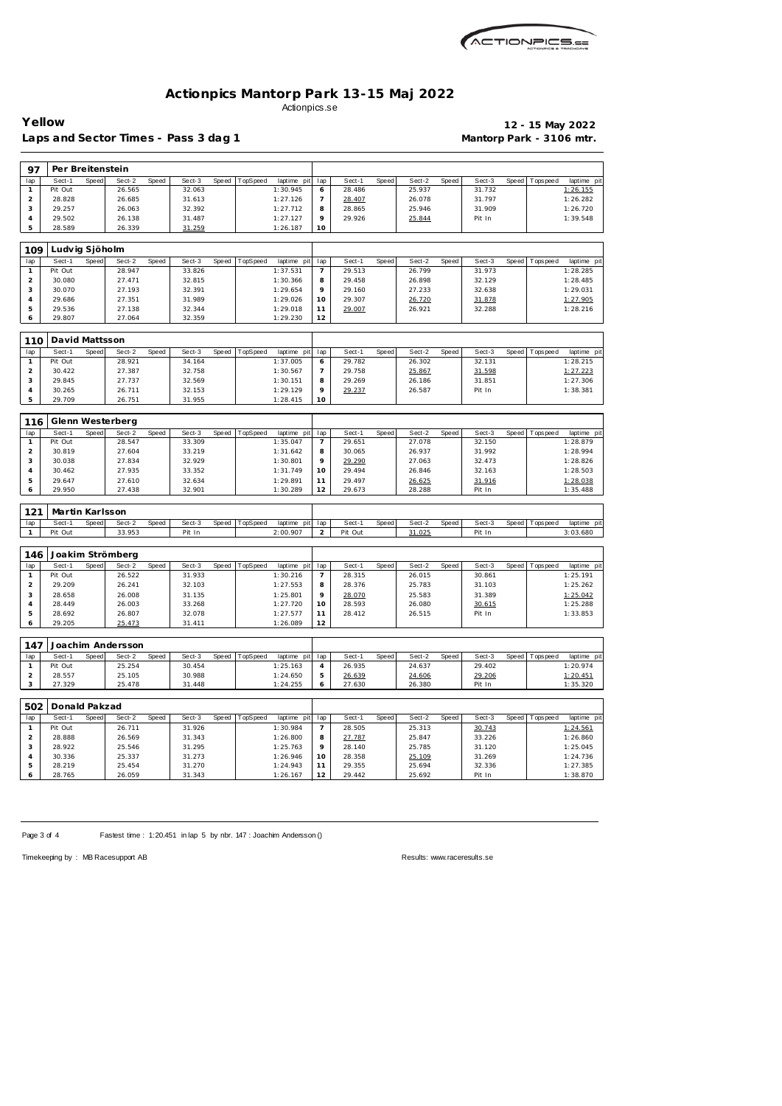

Laps and Sector Times - Pass 3 dag 1 **Mantorp Park - 3106 mtr.** 

**Yellow 12 - 15 May 2022**

| 97                         | Per Breitenstein  |              |                             |       |                  |       |          |                         |                       |                  |       |                  |       |                  |       |                   |                        |
|----------------------------|-------------------|--------------|-----------------------------|-------|------------------|-------|----------|-------------------------|-----------------------|------------------|-------|------------------|-------|------------------|-------|-------------------|------------------------|
| lap                        | Sect-1            | Speed        | Sect-2                      | Speed | Sect-3           | Speed | TopSpeed | laptime pit             | lap                   | Sect-1           | Speed | Sect-2           | Speed | Sect-3           | Speed | Tops peed         | laptime pi             |
| $\mathbf{1}$               | Pit Out           |              | 26.565                      |       | 32.063           |       |          | 1:30.945                | 6                     | 28.486           |       | 25.937           |       | 31.732           |       |                   | 1:26.155               |
| $\overline{a}$             | 28.828            |              | 26.685                      |       | 31.613           |       |          | 1:27.126                | 7                     | 28.407           |       | 26.078           |       | 31.797           |       |                   | 1:26.282               |
| $\sqrt{3}$                 | 29.257            |              | 26.063                      |       | 32.392           |       |          | 1:27.712                | 8                     | 28.865           |       | 25.946           |       | 31.909           |       |                   | 1:26.720               |
| $\overline{4}$             | 29.502            |              | 26.138                      |       | 31.487           |       |          | 1:27.127                | 9                     | 29.926           |       | 25.844           |       | Pit In           |       |                   | 1:39.548               |
| 5                          | 28.589            |              | 26.339                      |       | 31.259           |       |          | 1:26.187                | 10                    |                  |       |                  |       |                  |       |                   |                        |
| 109                        | Ludvig Sjöholm    |              |                             |       |                  |       |          |                         |                       |                  |       |                  |       |                  |       |                   |                        |
| lap                        | Sect-1            | Speed        | Sect-2                      | Speed | Sect-3           | Speed | TopSpeed | laptime pit             | lap                   | Sect-1           | Speed | Sect-2           | Speed | Sect-3           | Speed | Tops pee d        | laptime pit            |
| $\mathbf{1}$               | Pit Out           |              | 28.947                      |       | 33.826           |       |          | 1:37.531                | $\overline{7}$        | 29.513           |       | 26.799           |       | 31.973           |       |                   | 1:28.285               |
| $\mathbf 2$                | 30.080            |              | 27.471                      |       | 32.815           |       |          | 1:30.366                | 8                     | 29.458           |       | 26.898           |       | 32.129           |       |                   | 1:28.485               |
| 3                          | 30.070            |              | 27.193                      |       | 32.391           |       |          | 1:29.654                | 9                     | 29.160           |       | 27.233           |       | 32.638           |       |                   | 1:29.031               |
| $\overline{4}$             | 29.686            |              | 27.351                      |       | 31.989           |       |          | 1:29.026                | 10                    | 29.307           |       | 26.720           |       | 31.878           |       |                   | 1:27.905               |
| 5                          | 29.536            |              | 27.138                      |       | 32.344           |       |          | 1:29.018                | 11                    | 29.007           |       | 26.921           |       | 32.288           |       |                   | 1:28.216               |
| 6                          | 29.807            |              | 27.064                      |       | 32.359           |       |          | 1:29.230                | 12                    |                  |       |                  |       |                  |       |                   |                        |
| 110                        | David Mattsson    |              |                             |       |                  |       |          |                         |                       |                  |       |                  |       |                  |       |                   |                        |
| lap                        | Sect-1            |              | Sect-2                      | Speed | Sect-3           | Speed |          |                         |                       | Sect-1           | Speed | Sect-2           | Speed | Sect-3           | Speed |                   |                        |
|                            | Pit Out           | <b>Speed</b> |                             |       |                  |       | TopSpeed | laptime pit             | lap                   | 29.782           |       |                  |       |                  |       | T ops pee d       | laptime pi             |
| $\mathbf{1}$<br>$\sqrt{2}$ |                   |              | 28.921                      |       | 34.164           |       |          | 1:37.005                | 6                     |                  |       | 26.302           |       | 32.131           |       |                   | 1:28.215               |
| $\mathsf 3$                | 30.422<br>29.845  |              | 27.387<br>27.737            |       | 32.758<br>32.569 |       |          | 1:30.567<br>1:30.151    | $\overline{7}$<br>8   | 29.758<br>29.269 |       | 25.867<br>26.186 |       | 31.598<br>31.851 |       |                   | 1:27.223<br>1:27.306   |
| $\overline{4}$             | 30.265            |              | 26.711                      |       | 32.153           |       |          | 1:29.129                | 9                     | 29.237           |       | 26.587           |       | Pit In           |       |                   | 1:38.381               |
| 5                          | 29.709            |              | 26.751                      |       | 31.955           |       |          | 1:28.415                | 10                    |                  |       |                  |       |                  |       |                   |                        |
|                            |                   |              |                             |       |                  |       |          |                         |                       |                  |       |                  |       |                  |       |                   |                        |
| 116                        |                   |              | Glenn Westerberg            |       |                  |       |          |                         |                       |                  |       |                  |       |                  |       |                   |                        |
| lap                        | Sect-1            | Speed        | Sect-2                      | Speed | Sect-3           | Speed | TopSpeed | laptime pit             | lap                   | Sect-1           | Speed | Sect-2           | Speed | Sect-3           | Speed | <b>Topspeed</b>   | laptime pi             |
| $\mathbf{1}$               | Pit Out           |              | 28.547                      |       | 33.309           |       |          | 1:35.047                | $\overline{7}$        | 29.651           |       | 27.078           |       | 32.150           |       |                   | 1:28.879               |
| $\mathbf 2$                | 30.819            |              | 27.604                      |       | 33.219           |       |          | 1:31.642                | 8                     | 30.065           |       | 26.937           |       | 31.992           |       |                   | 1:28.994               |
| 3                          | 30.038            |              | 27.834                      |       | 32.929           |       |          | 1:30.801                | 9                     | 29.290           |       | 27.063           |       | 32.473           |       |                   | 1:28.826               |
| $\overline{4}$             | 30.462            |              | 27.935                      |       | 33.352           |       |          | 1:31.749                | 10                    | 29.494           |       | 26.846           |       | 32.163           |       |                   | 1:28.503               |
| 5<br>6                     | 29.647<br>29.950  |              | 27.610<br>27.438            |       | 32.634<br>32.901 |       |          | 1:29.891<br>1:30.289    | 11<br>12              | 29.497<br>29.673 |       | 26.625<br>28.288 |       | 31.916<br>Pit In |       |                   | 1:28.038<br>1:35.488   |
|                            |                   |              |                             |       |                  |       |          |                         |                       |                  |       |                  |       |                  |       |                   |                        |
| 121                        | Martin Karlsson   |              |                             |       |                  |       |          |                         |                       |                  |       |                  |       |                  |       |                   |                        |
| lap                        | Sect-1            | Speed        | Sect-2                      | Speed | Sect-3           | Speed | TopSpeed | laptime pit             | lap                   | Sect-1           | Speed | Sect-2           | Speed | Sect-3           |       | Speed   Tops peed | laptime pi             |
| $\mathbf{1}$               | Pit Out           |              | 33.953                      |       | Pit In           |       |          | 2:00.907                | 2                     | Pit Out          |       | 31.025           |       | Pit In           |       |                   | 3:03.680               |
| 146                        |                   |              | Joakim Strömberg            |       |                  |       |          |                         |                       |                  |       |                  |       |                  |       |                   |                        |
| lap                        | Sect-1            | Speed        | Sect-2                      | Speed | Sect-3           | Speed | TopSpeed | laptime pit             | lap                   | Sect-1           | Speed | Sect-2           | Speed | Sect-3           | Speed | Tops pee d        | laptime pi             |
| $\mathbf{1}$               | Pit Out           |              | 26.522                      |       | 31.933           |       |          | 1:30.216                | $\overline{7}$        | 28.315           |       | 26.015           |       | 30.861           |       |                   | 1:25.191               |
| $\overline{c}$             | 29.209            |              | 26.241                      |       | 32.103           |       |          | 1:27.553                | 8                     | 28.376           |       | 25.783           |       | 31.103           |       |                   | 1:25.262               |
| $\ensuremath{\mathsf{3}}$  | 28.658            |              | 26.008                      |       | 31.135           |       |          | 1:25.801                | 9                     | 28.070           |       | 25.583           |       | 31.389           |       |                   | 1:25.042               |
| $\overline{4}$             | 28.449            |              | 26.003                      |       | 33.268           |       |          | 1:27.720                | 10                    | 28.593           |       | 26.080           |       | 30.615           |       |                   | 1:25.288               |
| 5                          | 28.692            |              | 26.807                      |       | 32.078           |       |          | 1:27.577                | 11                    | 28.412           |       | 26.515           |       | Pit In           |       |                   | 1:33.853               |
| 6                          | 29.205            |              | 25.473                      |       | 31.411           |       |          | 1:26.089                | 12                    |                  |       |                  |       |                  |       |                   |                        |
| 147                        |                   |              |                             |       |                  |       |          |                         |                       |                  |       |                  |       |                  |       |                   |                        |
|                            | Sect-1            | Speed        | Joachim Andersson<br>Sect-2 | Speed | Sect-3           | Speed |          | laptime pit             |                       | Sect-1           | Speed | Sect-2           | Speed | Sect-3           | Speed |                   |                        |
| lap<br>$\mathbf{1}$        | Pit Out           |              | 25.254                      |       | 30.454           |       | TopSpeed | 1:25.163                | lap<br>4              | 26.935           |       | 24.637           |       | 29.402           |       | Topspeed          | laptime pi<br>1:20.974 |
| $\overline{a}$             | 28.557            |              | 25.105                      |       | 30.988           |       |          | 1:24.650                | 5                     | 26.639           |       | 24.606           |       | 29.206           |       |                   | 1:20.451               |
| 3                          | 27.329            |              | 25.478                      |       | 31.448           |       |          | 1:24.255                | 6                     | 27.630           |       | 26.380           |       | Pit In           |       |                   | 1:35.320               |
|                            |                   |              |                             |       |                  |       |          |                         |                       |                  |       |                  |       |                  |       |                   |                        |
| 502                        | Donald Pakzad     | Speed        | Sect-2                      | Speed | Sect-3           | Speed | TopSpeed |                         |                       | Sect-1           | Speed | Sect-2           | Speed | Sect-3           | Speed | Topspeed          | laptime pi             |
| lap<br>$\mathbf{1}$        | Sect-1<br>Pit Out |              | 26.711                      |       | 31.926           |       |          | laptime pit<br>1:30.984 | lap<br>$\overline{7}$ | 28.505           |       | 25.313           |       |                  |       |                   |                        |
| $\overline{2}$             | 28.888            |              | 26.569                      |       | 31.343           |       |          | 1:26.800                | 8                     | 27.787           |       | 25.847           |       | 30.743<br>33.226 |       |                   | 1:24.561<br>1:26.860   |
| 3                          | 28.922            |              | 25.546                      |       | 31.295           |       |          | 1:25.763                | 9                     | 28.140           |       | 25.785           |       | 31.120           |       |                   | 1:25.045               |
| 4                          | 30.336            |              | 25.337                      |       | 31.273           |       |          | 1:26.946                | 10                    | 28.358           |       | 25.109           |       | 31.269           |       |                   | 1:24.736               |
|                            |                   |              |                             |       |                  |       |          |                         |                       |                  |       |                  |       |                  |       |                   |                        |

Page 3 of 4 Fastest time : 1:20.451 in lap 5 by nbr. 147 : Joachim Andersson ()

28.219 25.454 31.270 1:24.943 11 28.765 26.059 31.343 1:26.167

 29.355 25.694 32.336 1:27.385 12 29.442 25.692 Pit In 1:38.870